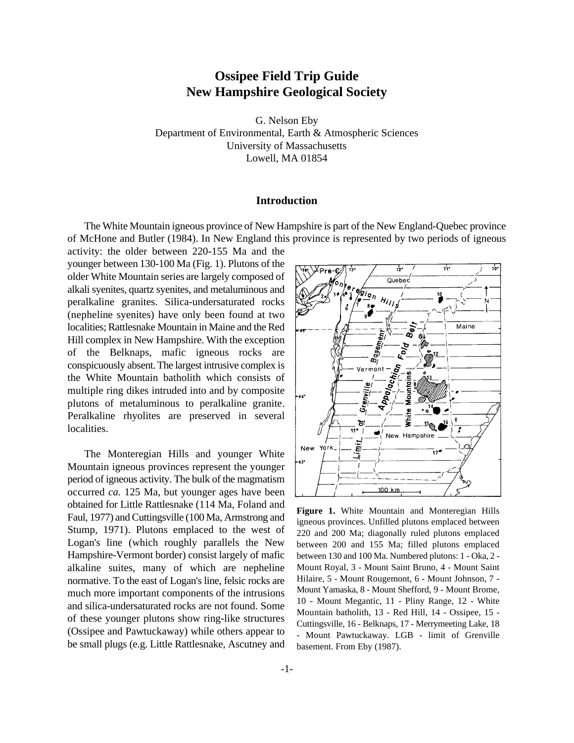# **Ossipee Field Trip Guide New Hampshire Geological Society**

G. Nelson Eby Department of Environmental, Earth & Atmospheric Sciences University of Massachusetts Lowell, MA 01854

# **Introduction**

The White Mountain igneous province of New Hampshire is part of the New England-Quebec province of McHone and Butler (1984). In New England this province is represented by two periods of igneous

activity: the older between 220-155 Ma and the younger between 130-100 Ma (Fig. 1). Plutons of the older White Mountain series are largely composed of alkali syenites, quartz syenites, and metaluminous and peralkaline granites. Silica-undersaturated rocks (nepheline syenites) have only been found at two localities; Rattlesnake Mountain in Maine and the Red Hill complex in New Hampshire. With the exception of the Belknaps, mafic igneous rocks are conspicuously absent. The largest intrusive complex is the White Mountain batholith which consists of multiple ring dikes intruded into and by composite plutons of metaluminous to peralkaline granite. Peralkaline rhyolites are preserved in several localities.

The Monteregian Hills and younger White Mountain igneous provinces represent the younger period of igneous activity. The bulk of the magmatism occurred *ca.* 125 Ma, but younger ages have been obtained for Little Rattlesnake (114 Ma, Foland and Faul, 1977) and Cuttingsville (100 Ma, Armstrong and Stump, 1971). Plutons emplaced to the west of Logan's line (which roughly parallels the New Hampshire-Vermont border) consist largely of mafic alkaline suites, many of which are nepheline normative. To the east of Logan's line, felsic rocks are much more important components of the intrusions and silica-undersaturated rocks are not found. Some of these younger plutons show ring-like structures (Ossipee and Pawtuckaway) while others appear to be small plugs (e.g. Little Rattlesnake, Ascutney and



**Figure 1.** White Mountain and Monteregian Hills igneous provinces. Unfilled plutons emplaced between 220 and 200 Ma; diagonally ruled plutons emplaced between 200 and 155 Ma; filled plutons emplaced between 130 and 100 Ma. Numbered plutons: 1 - Oka, 2 - Mount Royal, 3 - Mount Saint Bruno, 4 - Mount Saint Hilaire, 5 - Mount Rougemont, 6 - Mount Johnson, 7 - Mount Yamaska, 8 - Mount Shefford, 9 - Mount Brome, 10 - Mount Megantic, 11 - Pliny Range, 12 - White Mountain batholith, 13 - Red Hill, 14 - Ossipee, 15 - Cuttingsville, 16 - Belknaps, 17 - Merrymeeting Lake, 18 - Mount Pawtuckaway. LGB - limit of Grenville basement. From Eby (1987).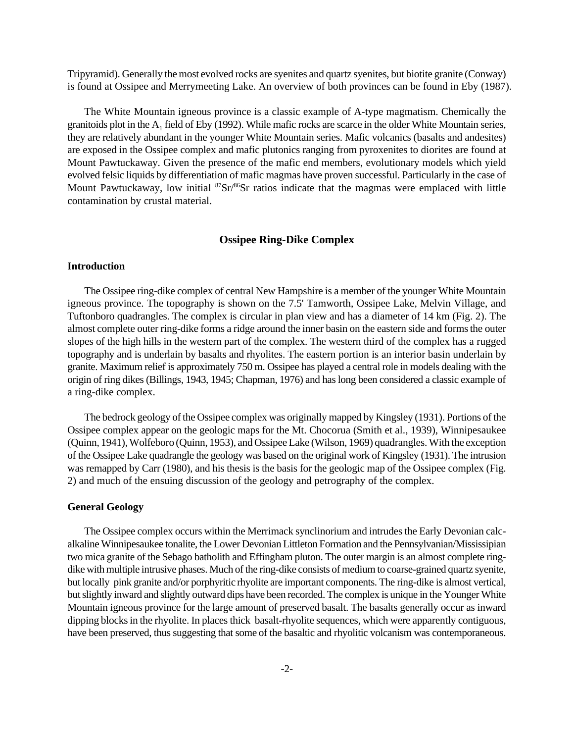Tripyramid). Generally the most evolved rocks are syenites and quartz syenites, but biotite granite (Conway) is found at Ossipee and Merrymeeting Lake. An overview of both provinces can be found in Eby (1987).

The White Mountain igneous province is a classic example of A-type magmatism. Chemically the granitoids plot in the  $A_1$  field of Eby (1992). While mafic rocks are scarce in the older White Mountain series, they are relatively abundant in the younger White Mountain series. Mafic volcanics (basalts and andesites) are exposed in the Ossipee complex and mafic plutonics ranging from pyroxenites to diorites are found at Mount Pawtuckaway. Given the presence of the mafic end members, evolutionary models which yield evolved felsic liquids by differentiation of mafic magmas have proven successful. Particularly in the case of Mount Pawtuckaway, low initial <sup>87</sup>Sr/<sup>86</sup>Sr ratios indicate that the magmas were emplaced with little contamination by crustal material.

# **Ossipee Ring-Dike Complex**

# **Introduction**

The Ossipee ring-dike complex of central New Hampshire is a member of the younger White Mountain igneous province. The topography is shown on the 7.5' Tamworth, Ossipee Lake, Melvin Village, and Tuftonboro quadrangles. The complex is circular in plan view and has a diameter of 14 km (Fig. 2). The almost complete outer ring-dike forms a ridge around the inner basin on the eastern side and forms the outer slopes of the high hills in the western part of the complex. The western third of the complex has a rugged topography and is underlain by basalts and rhyolites. The eastern portion is an interior basin underlain by granite. Maximum relief is approximately 750 m. Ossipee has played a central role in models dealing with the origin of ring dikes (Billings, 1943, 1945; Chapman, 1976) and has long been considered a classic example of a ring-dike complex.

The bedrock geology of the Ossipee complex was originally mapped by Kingsley (1931). Portions of the Ossipee complex appear on the geologic maps for the Mt. Chocorua (Smith et al., 1939), Winnipesaukee (Quinn, 1941), Wolfeboro (Quinn, 1953), and Ossipee Lake (Wilson, 1969) quadrangles. With the exception of the Ossipee Lake quadrangle the geology was based on the original work of Kingsley (1931). The intrusion was remapped by Carr (1980), and his thesis is the basis for the geologic map of the Ossipee complex (Fig. 2) and much of the ensuing discussion of the geology and petrography of the complex.

### **General Geology**

The Ossipee complex occurs within the Merrimack synclinorium and intrudes the Early Devonian calcalkaline Winnipesaukee tonalite, the Lower Devonian Littleton Formation and the Pennsylvanian/Mississipian two mica granite of the Sebago batholith and Effingham pluton. The outer margin is an almost complete ringdike with multiple intrusive phases. Much of the ring-dike consists of medium to coarse-grained quartz syenite, but locally pink granite and/or porphyritic rhyolite are important components. The ring-dike is almost vertical, but slightly inward and slightly outward dips have been recorded. The complex is unique in the Younger White Mountain igneous province for the large amount of preserved basalt. The basalts generally occur as inward dipping blocks in the rhyolite. In places thick basalt-rhyolite sequences, which were apparently contiguous, have been preserved, thus suggesting that some of the basaltic and rhyolitic volcanism was contemporaneous.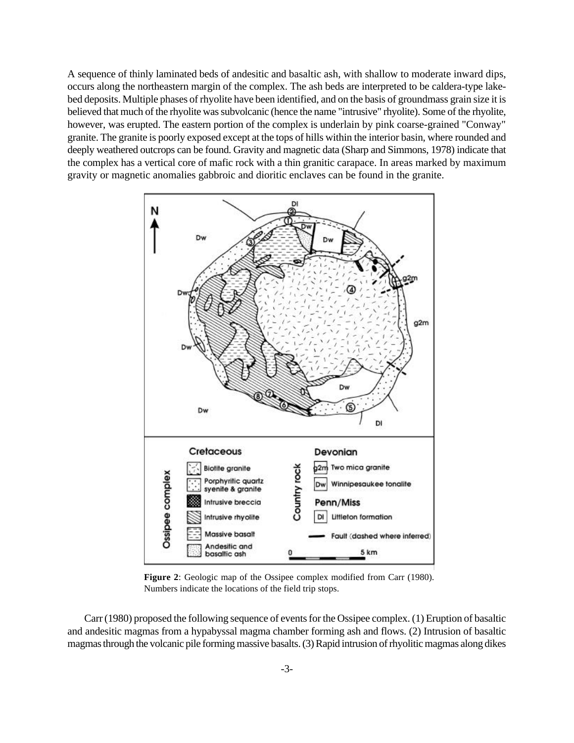A sequence of thinly laminated beds of andesitic and basaltic ash, with shallow to moderate inward dips, occurs along the northeastern margin of the complex. The ash beds are interpreted to be caldera-type lakebed deposits. Multiple phases of rhyolite have been identified, and on the basis of groundmass grain size it is believed that much of the rhyolite was subvolcanic (hence the name "intrusive" rhyolite). Some of the rhyolite, however, was erupted. The eastern portion of the complex is underlain by pink coarse-grained "Conway" granite. The granite is poorly exposed except at the tops of hills within the interior basin, where rounded and deeply weathered outcrops can be found. Gravity and magnetic data (Sharp and Simmons, 1978) indicate that the complex has a vertical core of mafic rock with a thin granitic carapace. In areas marked by maximum gravity or magnetic anomalies gabbroic and dioritic enclaves can be found in the granite.



**Figure 2**: Geologic map of the Ossipee complex modified from Carr (1980). Numbers indicate the locations of the field trip stops.

Carr(1980) proposed the following sequence of events for the Ossipee complex. (1) Eruption of basaltic and andesitic magmas from a hypabyssal magma chamber forming ash and flows. (2) Intrusion of basaltic magmas through the volcanic pile forming massive basalts. (3) Rapid intrusion of rhyolitic magmas along dikes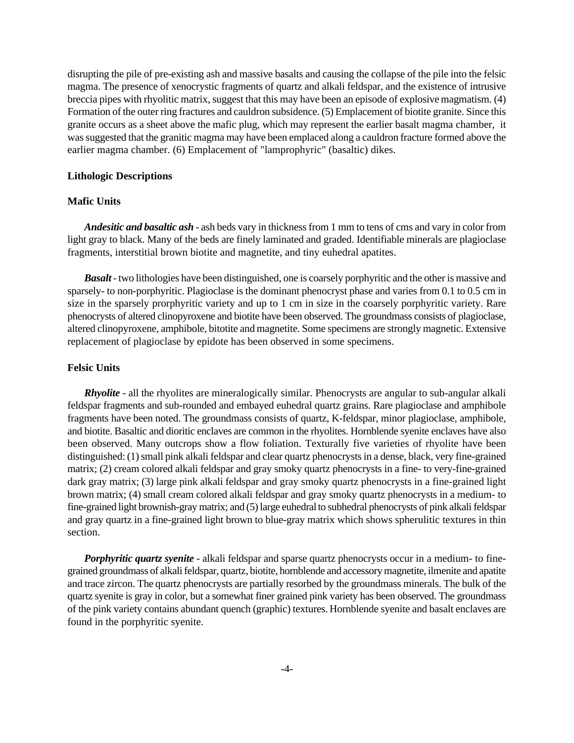disrupting the pile of pre-existing ash and massive basalts and causing the collapse of the pile into the felsic magma. The presence of xenocrystic fragments of quartz and alkali feldspar, and the existence of intrusive breccia pipes with rhyolitic matrix, suggest that this may have been an episode of explosive magmatism. (4) Formation of the outer ring fractures and cauldron subsidence. (5) Emplacement of biotite granite. Since this granite occurs as a sheet above the mafic plug, which may represent the earlier basalt magma chamber, it was suggested that the granitic magma may have been emplaced along a cauldron fracture formed above the earlier magma chamber. (6) Emplacement of "lamprophyric" (basaltic) dikes.

## **Lithologic Descriptions**

# **Mafic Units**

*Andesitic and basaltic ash* - ash beds vary in thicknessfrom 1 mm to tens of cms and vary in color from light gray to black. Many of the beds are finely laminated and graded. Identifiable minerals are plagioclase fragments, interstitial brown biotite and magnetite, and tiny euhedral apatites.

*Basalt*- two lithologies have been distinguished, one is coarsely porphyritic and the other is massive and sparsely- to non-porphyritic. Plagioclase is the dominant phenocryst phase and varies from 0.1 to 0.5 cm in size in the sparsely prorphyritic variety and up to 1 cm in size in the coarsely porphyritic variety. Rare phenocrysts of altered clinopyroxene and biotite have been observed. The groundmass consists of plagioclase, altered clinopyroxene, amphibole, bitotite and magnetite. Some specimens are strongly magnetic. Extensive replacement of plagioclase by epidote has been observed in some specimens.

# **Felsic Units**

*Rhyolite* - all the rhyolites are mineralogically similar. Phenocrysts are angular to sub-angular alkali feldspar fragments and sub-rounded and embayed euhedral quartz grains. Rare plagioclase and amphibole fragments have been noted. The groundmass consists of quartz, K-feldspar, minor plagioclase, amphibole, and biotite. Basaltic and dioritic enclaves are common in the rhyolites. Hornblende syenite enclaves have also been observed. Many outcrops show a flow foliation. Texturally five varieties of rhyolite have been distinguished: (1) small pink alkali feldspar and clear quartz phenocrysts in a dense, black, very fine-grained matrix; (2) cream colored alkali feldspar and gray smoky quartz phenocrysts in a fine- to very-fine-grained dark gray matrix; (3) large pink alkali feldspar and gray smoky quartz phenocrysts in a fine-grained light brown matrix; (4) small cream colored alkali feldspar and gray smoky quartz phenocrysts in a medium- to fine-grained light brownish-gray matrix; and (5) large euhedral to subhedral phenocrysts of pink alkali feldspar and gray quartz in a fine-grained light brown to blue-gray matrix which shows spherulitic textures in thin section.

*Porphyritic quartz syenite* - alkali feldspar and sparse quartz phenocrysts occur in a medium- to finegrained groundmass of alkali feldspar, quartz, biotite, hornblende and accessory magnetite, ilmenite and apatite and trace zircon. The quartz phenocrysts are partially resorbed by the groundmass minerals. The bulk of the quartz syenite is gray in color, but a somewhat finer grained pink variety has been observed. The groundmass of the pink variety contains abundant quench (graphic) textures. Hornblende syenite and basalt enclaves are found in the porphyritic syenite.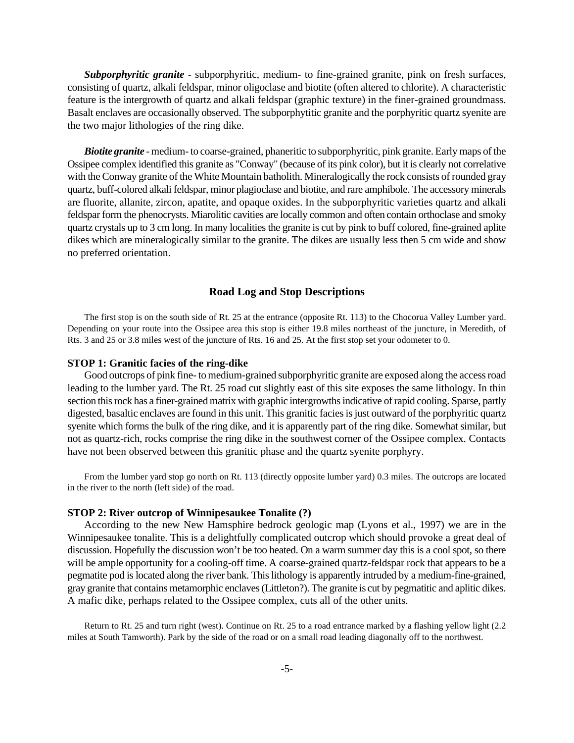*Subporphyritic granite* - subporphyritic, medium- to fine-grained granite, pink on fresh surfaces, consisting of quartz, alkali feldspar, minor oligoclase and biotite (often altered to chlorite). A characteristic feature is the intergrowth of quartz and alkali feldspar (graphic texture) in the finer-grained groundmass. Basalt enclaves are occasionally observed. The subporphytitic granite and the porphyritic quartz syenite are the two major lithologies of the ring dike.

*Biotite granite* - medium- to coarse-grained, phaneritic to subporphyritic, pink granite. Early maps of the Ossipee complex identified this granite as "Conway" (because of its pink color), but it is clearly not correlative with the Conway granite of the White Mountain batholith. Mineralogically the rock consists of rounded gray quartz, buff-colored alkali feldspar, minor plagioclase and biotite, and rare amphibole. The accessory minerals are fluorite, allanite, zircon, apatite, and opaque oxides. In the subporphyritic varieties quartz and alkali feldspar form the phenocrysts. Miarolitic cavities are locally common and often contain orthoclase and smoky quartz crystals up to 3 cm long. In many localities the granite is cut by pink to buff colored, fine-grained aplite dikes which are mineralogically similar to the granite. The dikes are usually less then 5 cm wide and show no preferred orientation.

# **Road Log and Stop Descriptions**

The first stop is on the south side of Rt. 25 at the entrance (opposite Rt. 113) to the Chocorua Valley Lumber yard. Depending on your route into the Ossipee area this stop is either 19.8 miles northeast of the juncture, in Meredith, of Rts. 3 and 25 or 3.8 miles west of the juncture of Rts. 16 and 25. At the first stop set your odometer to 0.

#### **STOP 1: Granitic facies of the ring-dike**

Good outcrops of pink fine- to medium-grained subporphyritic granite are exposed along the access road leading to the lumber yard. The Rt. 25 road cut slightly east of this site exposes the same lithology. In thin section this rock has a finer-grained matrix with graphic intergrowths indicative of rapid cooling. Sparse, partly digested, basaltic enclaves are found in this unit. This granitic facies is just outward of the porphyritic quartz syenite which forms the bulk of the ring dike, and it is apparently part of the ring dike. Somewhat similar, but not as quartz-rich, rocks comprise the ring dike in the southwest corner of the Ossipee complex. Contacts have not been observed between this granitic phase and the quartz syenite porphyry.

From the lumber yard stop go north on Rt. 113 (directly opposite lumber yard) 0.3 miles. The outcrops are located in the river to the north (left side) of the road.

# **STOP 2: River outcrop of Winnipesaukee Tonalite (?)**

According to the new New Hamsphire bedrock geologic map (Lyons et al., 1997) we are in the Winnipesaukee tonalite. This is a delightfully complicated outcrop which should provoke a great deal of discussion. Hopefully the discussion won't be too heated. On a warm summer day this is a cool spot, so there will be ample opportunity for a cooling-off time. A coarse-grained quartz-feldspar rock that appears to be a pegmatite pod is located along the river bank. This lithology is apparently intruded by a medium-fine-grained, gray granite that contains metamorphic enclaves (Littleton?). The granite is cut by pegmatitic and aplitic dikes. A mafic dike, perhaps related to the Ossipee complex, cuts all of the other units.

Return to Rt. 25 and turn right (west). Continue on Rt. 25 to a road entrance marked by a flashing yellow light (2.2 miles at South Tamworth). Park by the side of the road or on a small road leading diagonally off to the northwest.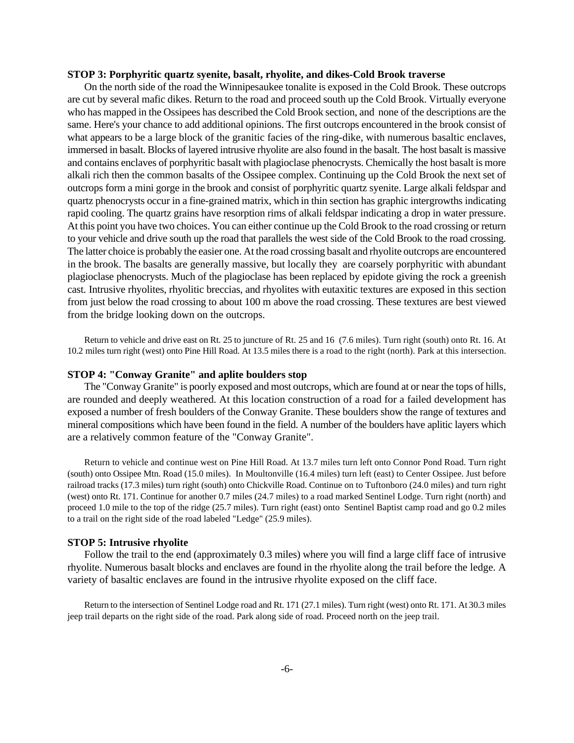#### **STOP 3: Porphyritic quartz syenite, basalt, rhyolite, and dikes-Cold Brook traverse**

On the north side of the road the Winnipesaukee tonalite is exposed in the Cold Brook. These outcrops are cut by several mafic dikes. Return to the road and proceed south up the Cold Brook. Virtually everyone who has mapped in the Ossipees has described the Cold Brook section, and none of the descriptions are the same. Here's your chance to add additional opinions. The first outcrops encountered in the brook consist of what appears to be a large block of the granitic facies of the ring-dike, with numerous basaltic enclaves, immersed in basalt. Blocks of layered intrusive rhyolite are also found in the basalt. The host basalt is massive and contains enclaves of porphyritic basalt with plagioclase phenocrysts. Chemically the host basalt is more alkali rich then the common basalts of the Ossipee complex. Continuing up the Cold Brook the next set of outcrops form a mini gorge in the brook and consist of porphyritic quartz syenite. Large alkali feldspar and quartz phenocrysts occur in a fine-grained matrix, which in thin section has graphic intergrowths indicating rapid cooling. The quartz grains have resorption rims of alkali feldspar indicating a drop in water pressure. At this point you have two choices. You can either continue up the Cold Brook to the road crossing or return to your vehicle and drive south up the road that parallels the west side of the Cold Brook to the road crossing. The latter choice is probably the easier one. At the road crossing basalt and rhyolite outcrops are encountered in the brook. The basalts are generally massive, but locally they are coarsely porphyritic with abundant plagioclase phenocrysts. Much of the plagioclase has been replaced by epidote giving the rock a greenish cast. Intrusive rhyolites, rhyolitic breccias, and rhyolites with eutaxitic textures are exposed in this section from just below the road crossing to about 100 m above the road crossing. These textures are best viewed from the bridge looking down on the outcrops.

Return to vehicle and drive east on Rt. 25 to juncture of Rt. 25 and 16 (7.6 miles). Turn right (south) onto Rt. 16. At 10.2 miles turn right (west) onto Pine Hill Road. At 13.5 miles there is a road to the right (north). Park at this intersection.

#### **STOP 4: "Conway Granite" and aplite boulders stop**

The "Conway Granite" is poorly exposed and most outcrops, which are found at or near the tops of hills, are rounded and deeply weathered. At this location construction of a road for a failed development has exposed a number of fresh boulders of the Conway Granite. These boulders show the range of textures and mineral compositions which have been found in the field. A number of the boulders have aplitic layers which are a relatively common feature of the "Conway Granite".

Return to vehicle and continue west on Pine Hill Road. At 13.7 miles turn left onto Connor Pond Road. Turn right (south) onto Ossipee Mtn. Road (15.0 miles). In Moultonville (16.4 miles) turn left (east) to Center Ossipee. Just before railroad tracks (17.3 miles) turn right (south) onto Chickville Road. Continue on to Tuftonboro (24.0 miles) and turn right (west) onto Rt. 171. Continue for another 0.7 miles (24.7 miles) to a road marked Sentinel Lodge. Turn right (north) and proceed 1.0 mile to the top of the ridge (25.7 miles). Turn right (east) onto Sentinel Baptist camp road and go 0.2 miles to a trail on the right side of the road labeled "Ledge" (25.9 miles).

## **STOP 5: Intrusive rhyolite**

Follow the trail to the end (approximately 0.3 miles) where you will find a large cliff face of intrusive rhyolite. Numerous basalt blocks and enclaves are found in the rhyolite along the trail before the ledge. A variety of basaltic enclaves are found in the intrusive rhyolite exposed on the cliff face.

Return to the intersection of Sentinel Lodge road and Rt. 171 (27.1 miles). Turn right (west) onto Rt. 171. At 30.3 miles jeep trail departs on the right side of the road. Park along side of road. Proceed north on the jeep trail.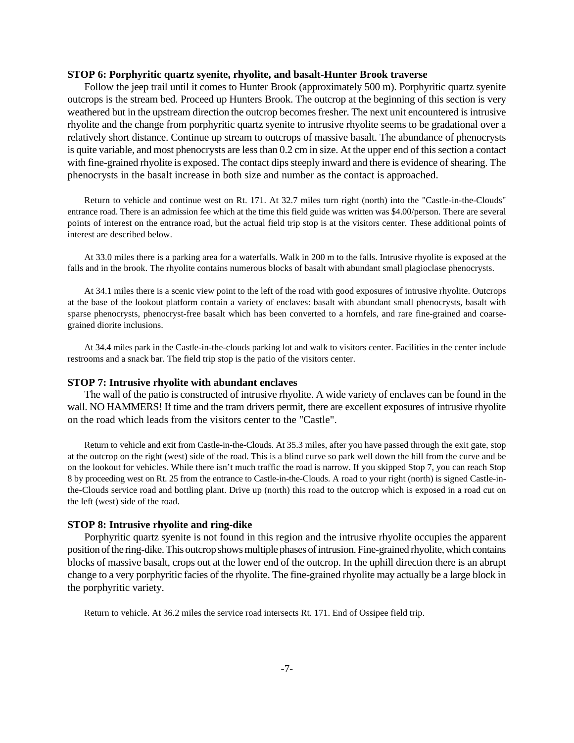## **STOP 6: Porphyritic quartz syenite, rhyolite, and basalt-Hunter Brook traverse**

Follow the jeep trail until it comes to Hunter Brook (approximately 500 m). Porphyritic quartz syenite outcrops is the stream bed. Proceed up Hunters Brook. The outcrop at the beginning of this section is very weathered but in the upstream direction the outcrop becomes fresher. The next unit encountered is intrusive rhyolite and the change from porphyritic quartz syenite to intrusive rhyolite seems to be gradational over a relatively short distance. Continue up stream to outcrops of massive basalt. The abundance of phenocrysts is quite variable, and most phenocrysts are less than 0.2 cm in size. At the upper end of this section a contact with fine-grained rhyolite is exposed. The contact dips steeply inward and there is evidence of shearing. The phenocrysts in the basalt increase in both size and number as the contact is approached.

Return to vehicle and continue west on Rt. 171. At 32.7 miles turn right (north) into the "Castle-in-the-Clouds" entrance road. There is an admission fee which at the time this field guide was written was \$4.00/person. There are several points of interest on the entrance road, but the actual field trip stop is at the visitors center. These additional points of interest are described below.

At 33.0 miles there is a parking area for a waterfalls. Walk in 200 m to the falls. Intrusive rhyolite is exposed at the falls and in the brook. The rhyolite contains numerous blocks of basalt with abundant small plagioclase phenocrysts.

At 34.1 miles there is a scenic view point to the left of the road with good exposures of intrusive rhyolite. Outcrops at the base of the lookout platform contain a variety of enclaves: basalt with abundant small phenocrysts, basalt with sparse phenocrysts, phenocryst-free basalt which has been converted to a hornfels, and rare fine-grained and coarsegrained diorite inclusions.

At 34.4 miles park in the Castle-in-the-clouds parking lot and walk to visitors center. Facilities in the center include restrooms and a snack bar. The field trip stop is the patio of the visitors center.

#### **STOP 7: Intrusive rhyolite with abundant enclaves**

The wall of the patio is constructed of intrusive rhyolite. A wide variety of enclaves can be found in the wall. NO HAMMERS! If time and the tram drivers permit, there are excellent exposures of intrusive rhyolite on the road which leads from the visitors center to the "Castle".

Return to vehicle and exit from Castle-in-the-Clouds. At 35.3 miles, after you have passed through the exit gate, stop at the outcrop on the right (west) side of the road. This is a blind curve so park well down the hill from the curve and be on the lookout for vehicles. While there isn't much traffic the road is narrow. If you skipped Stop 7, you can reach Stop 8 by proceeding west on Rt. 25 from the entrance to Castle-in-the-Clouds. A road to your right (north) is signed Castle-inthe-Clouds service road and bottling plant. Drive up (north) this road to the outcrop which is exposed in a road cut on the left (west) side of the road.

# **STOP 8: Intrusive rhyolite and ring-dike**

Porphyritic quartz syenite is not found in this region and the intrusive rhyolite occupies the apparent position of the ring-dike. This outcrop shows multiple phases of intrusion. Fine-grained rhyolite, which contains blocks of massive basalt, crops out at the lower end of the outcrop. In the uphill direction there is an abrupt change to a very porphyritic facies of the rhyolite. The fine-grained rhyolite may actually be a large block in the porphyritic variety.

Return to vehicle. At 36.2 miles the service road intersects Rt. 171. End of Ossipee field trip.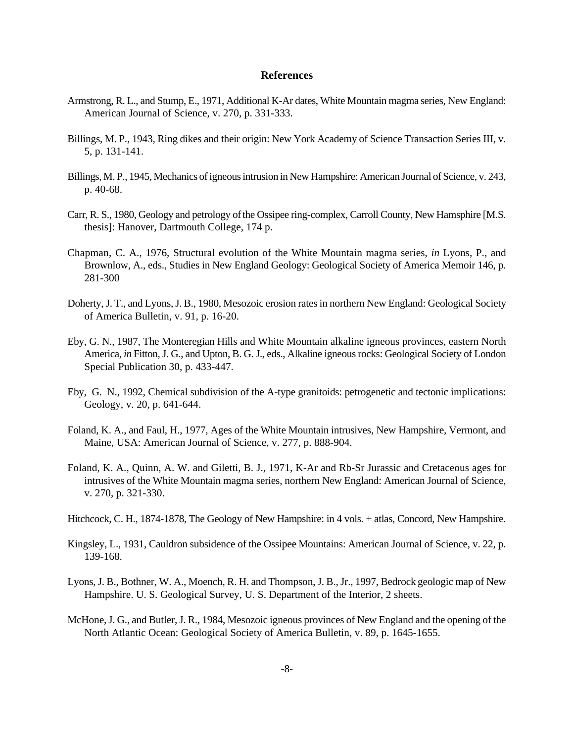# **References**

- Armstrong, R. L., and Stump, E., 1971, Additional K-Ar dates, White Mountain magma series, New England: American Journal of Science, v. 270, p. 331-333.
- Billings, M. P., 1943, Ring dikes and their origin: New York Academy of Science Transaction Series III, v. 5, p. 131-141.
- Billings, M. P., 1945, Mechanics of igneous intrusion in New Hampshire: American Journal of Science, v. 243, p. 40-68.
- Carr, R. S., 1980, Geology and petrology of the Ossipee ring-complex, Carroll County, New Hamsphire [M.S. thesis]: Hanover, Dartmouth College, 174 p.
- Chapman, C. A., 1976, Structural evolution of the White Mountain magma series, *in* Lyons, P., and Brownlow, A., eds., Studies in New England Geology: Geological Society of America Memoir 146, p. 281-300
- Doherty, J. T., and Lyons, J. B., 1980, Mesozoic erosion rates in northern New England: Geological Society of America Bulletin, v. 91, p. 16-20.
- Eby, G. N., 1987, The Monteregian Hills and White Mountain alkaline igneous provinces, eastern North America, *in* Fitton, J. G., and Upton, B. G. J., eds., Alkaline igneous rocks: Geological Society of London Special Publication 30, p. 433-447.
- Eby, G. N., 1992, Chemical subdivision of the A-type granitoids: petrogenetic and tectonic implications: Geology, v. 20, p. 641-644.
- Foland, K. A., and Faul, H., 1977, Ages of the White Mountain intrusives, New Hampshire, Vermont, and Maine, USA: American Journal of Science, v. 277, p. 888-904.
- Foland, K. A., Quinn, A. W. and Giletti, B. J., 1971, K-Ar and Rb-Sr Jurassic and Cretaceous ages for intrusives of the White Mountain magma series, northern New England: American Journal of Science, v. 270, p. 321-330.
- Hitchcock, C. H., 1874-1878, The Geology of New Hampshire: in 4 vols. + atlas, Concord, New Hampshire.
- Kingsley, L., 1931, Cauldron subsidence of the Ossipee Mountains: American Journal of Science, v. 22, p. 139-168.
- Lyons, J. B., Bothner, W. A., Moench, R. H. and Thompson, J. B., Jr., 1997, Bedrock geologic map of New Hampshire. U. S. Geological Survey, U. S. Department of the Interior, 2 sheets.
- McHone, J. G., and Butler, J. R., 1984, Mesozoic igneous provinces of New England and the opening of the North Atlantic Ocean: Geological Society of America Bulletin, v. 89, p. 1645-1655.